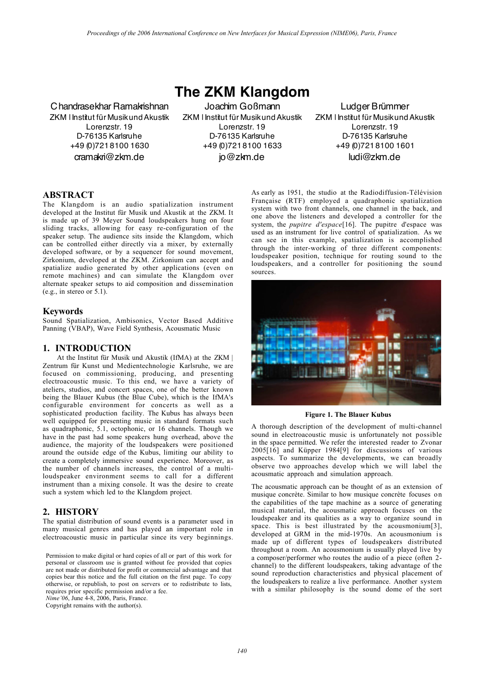**The ZKM Klangdom**

Chandrasekhar Ramakrishnan ZKM | Institut für Musik und Akustik Lorenzstr. 19 D-76135 Karlsruhe +49 (0)721 8100 1630 cramakri@zkm.de

Joachim Goßmann ZKM | Institut für Musik und Akustik Lorenzstr. 19 D-76135 Karlsruhe +49 (0)721 8100 1633 jo@zkm.de

Ludger Brümmer ZKM | Institut für Musik und Akustik Lorenzstr. 19 D-76135 Karlsruhe +49 (0)721 8100 1601 ludi@zkm.de

## ABSTRACT

The Klangdom is an audio spatialization instrument developed at the Institut für Musik und Akustik at the ZKM. It is made up of 39 Meyer Sound loudspeakers hung on four sliding tracks, allowing for easy re-configuration of the speaker setup. The audience sits inside the Klangdom, which can be controlled either directly via a mixer, by externally developed software, or by a sequencer for sound movement, Zirkonium, developed at the ZKM. Zirkonium can accept and spatialize audio generated by other applications (even on remote machines) and can simulate the Klangdom over alternate speaker setups to aid composition and dissemination (e.g., in stereo or 5.1).

#### Keywords

Sound Spatialization, Ambisonics, Vector Based Additive Panning (VBAP), Wave Field Synthesis, Acousmatic Music

#### 1. INTRODUCTION

At the Institut für Musik und Akustik (IfMA) at the ZKM | Zentrum für Kunst und Medientechnologie Karlsruhe, we are focused on commissioning, producing, and presenting electroacoustic music. To this end, we have a variety of ateliers, studios, and concert spaces, one of the better known being the Blauer Kubus (the Blue Cube), which is the IfMA's configurable environment for concerts as well as a sophisticated production facility. The Kubus has always been well equipped for presenting music in standard formats such as quadraphonic, 5.1, octophonic, or 16 channels. Though we have in the past had some speakers hung overhead, above the audience, the majority of the loudspeakers were positioned around the outside edge of the Kubus, limiting our ability to create a completely immersive sound experience. Moreover, as the number of channels increases, the control of a multiloudspeaker environment seems to call for a different instrument than a mixing console. It was the desire to create such a system which led to the Klangdom project.

## 2. HISTORY

The spatial distribution of sound events is a parameter used in many musical genres and has played an important role in electroacoustic music in particular since its very beginnings.

Permission to make digital or hard copies of all or part of this work for personal or classroom use is granted without fee provided that copies are not made or distributed for profit or commercial advantage and that copies bear this notice and the full citation on the first page. To copy otherwise, or republish, to post on servers or to redistribute to lists, requires prior specific permission and/or a fee.

*Nime'06*, June 4-8, 2006, Paris, France.

Copyright remains with the author(s).

As early as 1951, the studio at the Radiodiffusion-Télévision Française (RTF) employed a quadraphonic spatialization system with two front channels, one channel in the back, and one above the listeners and developed a controller for the system, the *pupitre d'espace*[16]. The pupitre d'espace was used as an instrument for live control of spatialization. As we can see in this example, spatialization is accomplished through the inter-working of three different components: loudspeaker position, technique for routing sound to the loudspeakers, and a controller for positioning the sound sources.



Figure 1. The Blauer Kubus

A thorough description of the development of multi-channel sound in electroacoustic music is unfortunately not possible in the space permitted. We refer the interested reader to Zvonar 2005[16] and Küpper 1984[9] for discussions of various aspects. To summarize the developments, we can broadly observe two approaches develop which we will label the acousmatic approach and simulation approach.

The acousmatic approach can be thought of as an extension of musique concrète. Similar to how musique concrète focuses on the capabilities of the tape machine as a source of generating musical material, the acousmatic approach focuses on the loudspeaker and its qualities as a way to organize sound in space. This is best illustrated by the acousmonium[3], developed at GRM in the mid-1970s. An acousmonium is made up of different types of loudspeakers distributed throughout a room. An acousmonium is usually played live by a composer/performer who routes the audio of a piece (often 2 channel) to the different loudspeakers, taking advantage of the sound reproduction characteristics and physical placement of the loudspeakers to realize a live performance. Another system with a similar philosophy is the sound dome of the sort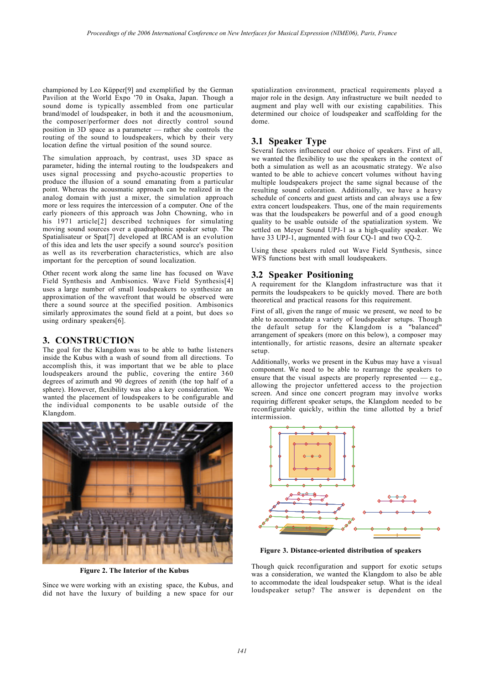championed by Leo Küpper[9] and exemplified by the German Pavilion at the World Expo '70 in Osaka, Japan. Though a sound dome is typically assembled from one particular brand/model of loudspeaker, in both it and the acousmonium, the composer/performer does not directly control sound position in 3D space as a parameter — rather she controls the routing of the sound to loudspeakers, which by their very location define the virtual position of the sound source.

The simulation approach, by contrast, uses 3D space as parameter, hiding the internal routing to the loudspeakers and uses signal processing and psycho-acoustic properties to produce the illusion of a sound emanating from a particular point. Whereas the acousmatic approach can be realized in the analog domain with just a mixer, the simulation approach more or less requires the intercession of a computer. One of the early pioneers of this approach was John Chowning, who in his 1971 article<sup>[2]</sup> described techniques for simulating moving sound sources over a quadraphonic speaker setup. The Spatialisateur or Spat[7] developed at IRCAM is an evolution of this idea and lets the user specify a sound source's position as well as its reverberation characteristics, which are also important for the perception of sound localization.

Other recent work along the same line has focused on Wave Field Synthesis and Ambisonics. Wave Field Synthesis[4] uses a large number of small loudspeakers to synthesize an approximation of the wavefront that would be observed were there a sound source at the specified position. Ambisonics similarly approximates the sound field at a point, but does so using ordinary speakers[6].

## 3. CONSTRUCTION

The goal for the Klangdom was to be able to bathe listeners inside the Kubus with a wash of sound from all directions. To accomplish this, it was important that we be able to place loudspeakers around the public, covering the entire 360 degrees of azimuth and 90 degrees of zenith (the top half of a sphere). However, flexibility was also a key consideration. We wanted the placement of loudspeakers to be configurable and the individual components to be usable outside of the Klangdom.



Figure 2. The Interior of the Kubus

Since we were working with an existing space, the Kubus, and did not have the luxury of building a new space for our

spatialization environment, practical requirements played a major role in the design. Any infrastructure we built needed to augment and play well with our existing capabilities. This determined our choice of loudspeaker and scaffolding for the dome.

# 3.1 Speaker Type

Several factors influenced our choice of speakers. First of all, we wanted the flexibility to use the speakers in the context of both a simulation as well as an acousmatic strategy. We also wanted to be able to achieve concert volumes without having multiple loudspeakers project the same signal because of the resulting sound coloration. Additionally, we have a heavy schedule of concerts and guest artists and can always use a few extra concert loudspeakers. Thus, one of the main requirements was that the loudspeakers be powerful and of a good enough quality to be usable outside of the spatialization system. We settled on Meyer Sound UPJ-1 as a high-quality speaker. We have 33 UPJ-1, augmented with four CO-1 and two CO-2.

Using these speakers ruled out Wave Field Synthesis, since WFS functions best with small loudspeakers.

## 3.2 Speaker Positioning

A requirement for the Klangdom infrastructure was that it permits the loudspeakers to be quickly moved. There are both theoretical and practical reasons for this requirement.

First of all, given the range of music we present, we need to be able to accommodate a variety of loudspeaker setups. Though the default setup for the Klangdom is a "balanced" arrangement of speakers (more on this below), a composer may intentionally, for artistic reasons, desire an alternate speaker setup.

Additionally, works we present in the Kubus may have a visual component. We need to be able to rearrange the speakers to ensure that the visual aspects are properly represented  $-$  e.g., allowing the projector unfettered access to the projection screen. And since one concert program may involve works requiring different speaker setups, the Klangdom needed to be reconfigurable quickly, within the time allotted by a brief intermission.



Figure 3. Distance-oriented distribution of speakers

Though quick reconfiguration and support for exotic setups was a consideration, we wanted the Klangdom to also be able to accommodate the ideal loudspeaker setup. What is the ideal loudspeaker setup? The answer is dependent on the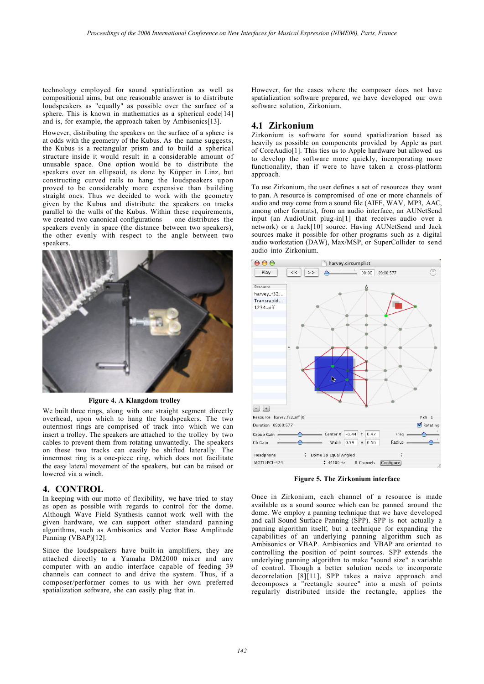technology employed for sound spatialization as well as compositional aims, but one reasonable answer is to distribute loudspeakers as "equally" as possible over the surface of a sphere. This is known in mathematics as a spherical code[14] and is, for example, the approach taken by Ambisonics[13].

However, distributing the speakers on the surface of a sphere is at odds with the geometry of the Kubus. As the name suggests, the Kubus is a rectangular prism and to build a spherical structure inside it would result in a considerable amount of unusable space. One option would be to distribute the speakers over an ellipsoid, as done by Küpper in Linz, but constructing curved rails to hang the loudspeakers upon proved to be considerably more expensive than building straight ones. Thus we decided to work with the geometry given by the Kubus and distribute the speakers on tracks parallel to the walls of the Kubus. Within these requirements, we created two canonical configurations — one distributes the speakers evenly in space (the distance between two speakers), the other evenly with respect to the angle between two speakers.



Figure 4. A Klangdom trolley

We built three rings, along with one straight segment directly overhead, upon which to hang the loudspeakers. The two outermost rings are comprised of track into which we can insert a trolley. The speakers are attached to the trolley by two cables to prevent them from rotating unwantedly. The speakers on these two tracks can easily be shifted laterally. The innermost ring is a one-piece ring, which does not facilitate the easy lateral movement of the speakers, but can be raised or lowered via a winch.

#### 4. CONTROL

In keeping with our motto of flexibility, we have tried to stay as open as possible with regards to control for the dome. Although Wave Field Synthesis cannot work well with the given hardware, we can support other standard panning algorithms, such as Ambisonics and Vector Base Amplitude Panning (VBAP)[12].

Since the loudspeakers have built-in amplifiers, they are attached directly to a Yamaha DM2000 mixer and any computer with an audio interface capable of feeding 39 channels can connect to and drive the system. Thus, if a composer/performer comes to us with her own preferred spatialization software, she can easily plug that in.

However, for the cases where the composer does not have spatialization software prepared, we have developed our own software solution, Zirkonium.

#### 4.1 Zirkonium

Zirkonium is software for sound spatialization based as heavily as possible on components provided by Apple as part of CoreAudio[1]. This ties us to Apple hardware but allowed us to develop the software more quickly, incorporating more functionality, than if were to have taken a cross-platform approach.

To use Zirkonium, the user defines a set of resources they want to pan. A resource is compromised of one or more channels of audio and may come from a sound file (AIFF, WAV, MP3, AAC, among other formats), from an audio interface, an AUNetSend input (an AudioUnit plug-in[1] that receives audio over a network) or a Jack[10] source. Having AUNetSend and Jack sources make it possible for other programs such as a digital audio workstation (DAW), Max/MSP, or SuperCollider to send audio into Zirkonium.



Figure 5. The Zirkonium interface

Once in Zirkonium, each channel of a resource is made available as a sound source which can be panned around the dome. We employ a panning technique that we have developed and call Sound Surface Panning (SPP). SPP is not actually a panning algorithm itself, but a technique for expanding the capabilities of an underlying panning algorithm such as Ambisonics or VBAP. Ambisonics and VBAP are oriented to controlling the position of point sources. SPP extends the underlying panning algorithm to make "sound size" a variable of control. Though a better solution needs to incorporate decorrelation [8][11], SPP takes a naive approach and decomposes a "rectangle source" into a mesh of points regularly distributed inside the rectangle, applies the